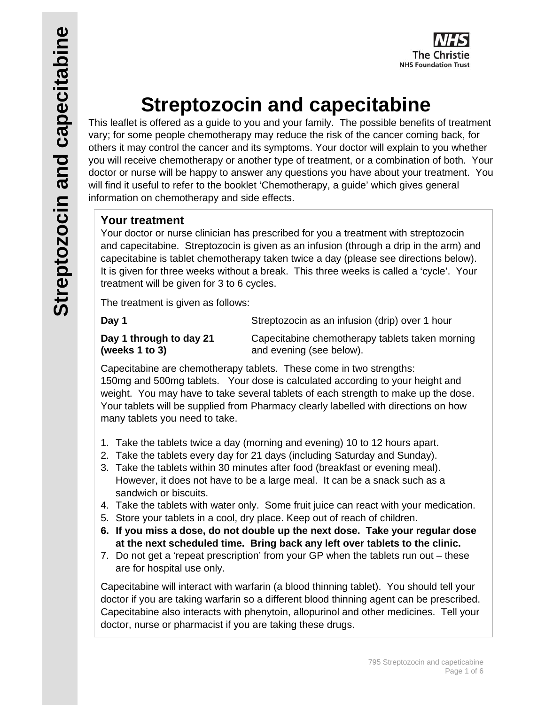

# **Streptozocin and capecitabine**

This leaflet is offered as a guide to you and your family. The possible benefits of treatment vary; for some people chemotherapy may reduce the risk of the cancer coming back, for others it may control the cancer and its symptoms. Your doctor will explain to you whether you will receive chemotherapy or another type of treatment, or a combination of both. Your doctor or nurse will be happy to answer any questions you have about your treatment. You will find it useful to refer to the booklet 'Chemotherapy, a guide' which gives general information on chemotherapy and side effects.

#### **Your treatment**

Your doctor or nurse clinician has prescribed for you a treatment with streptozocin and capecitabine. Streptozocin is given as an infusion (through a drip in the arm) and capecitabine is tablet chemotherapy taken twice a day (please see directions below). It is given for three weeks without a break. This three weeks is called a 'cycle'. Your treatment will be given for 3 to 6 cycles.

The treatment is given as follows:

**Day 1 Day 1 Streptozocin** as an infusion (drip) over 1 hour

**(weeks 1 to 3)** and evening (see below).

**Day 1 through to day 21** Capecitabine chemotherapy tablets taken morning

Capecitabine are chemotherapy tablets. These come in two strengths: 150mg and 500mg tablets. Your dose is calculated according to your height and weight. You may have to take several tablets of each strength to make up the dose. Your tablets will be supplied from Pharmacy clearly labelled with directions on how many tablets you need to take.

- 1. Take the tablets twice a day (morning and evening) 10 to 12 hours apart.
- 2. Take the tablets every day for 21 days (including Saturday and Sunday).
- 3. Take the tablets within 30 minutes after food (breakfast or evening meal). However, it does not have to be a large meal. It can be a snack such as a sandwich or biscuits.
- 4. Take the tablets with water only. Some fruit juice can react with your medication.
- 5. Store your tablets in a cool, dry place. Keep out of reach of children.
- **6. If you miss a dose, do not double up the next dose. Take your regular dose at the next scheduled time. Bring back any left over tablets to the clinic.**
- 7. Do not get a 'repeat prescription' from your GP when the tablets run out these are for hospital use only.

Capecitabine will interact with warfarin (a blood thinning tablet). You should tell your doctor if you are taking warfarin so a different blood thinning agent can be prescribed. Capecitabine also interacts with phenytoin, allopurinol and other medicines. Tell your doctor, nurse or pharmacist if you are taking these drugs.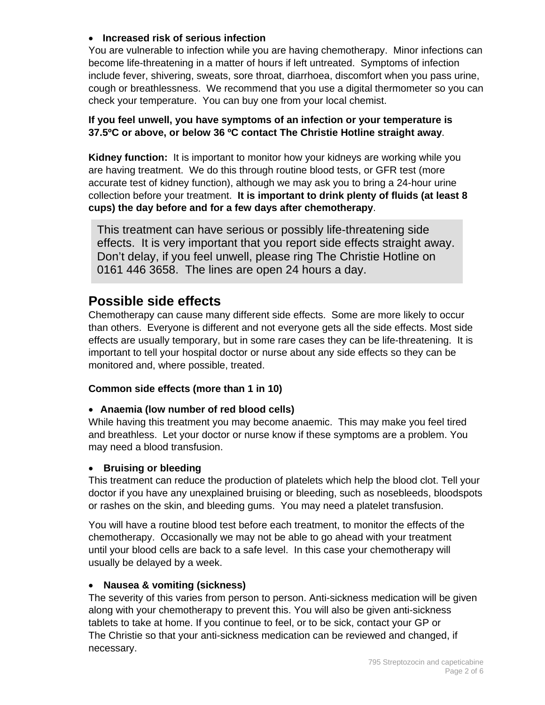#### **Increased risk of serious infection**

You are vulnerable to infection while you are having chemotherapy. Minor infections can become life-threatening in a matter of hours if left untreated. Symptoms of infection include fever, shivering, sweats, sore throat, diarrhoea, discomfort when you pass urine, cough or breathlessness. We recommend that you use a digital thermometer so you can check your temperature. You can buy one from your local chemist.

#### **If you feel unwell, you have symptoms of an infection or your temperature is 37.5ºC or above, or below 36 ºC contact The Christie Hotline straight away**.

**Kidney function:** It is important to monitor how your kidneys are working while you are having treatment. We do this through routine blood tests, or GFR test (more accurate test of kidney function), although we may ask you to bring a 24-hour urine collection before your treatment. **It is important to drink plenty of fluids (at least 8 cups) the day before and for a few days after chemotherapy**.

This treatment can have serious or possibly life-threatening side effects. It is very important that you report side effects straight away. Don't delay, if you feel unwell, please ring The Christie Hotline on 0161 446 3658. The lines are open 24 hours a day.

# **Possible side effects**

Chemotherapy can cause many different side effects. Some are more likely to occur than others. Everyone is different and not everyone gets all the side effects. Most side effects are usually temporary, but in some rare cases they can be life-threatening. It is important to tell your hospital doctor or nurse about any side effects so they can be monitored and, where possible, treated.

#### **Common side effects (more than 1 in 10)**

#### **Anaemia (low number of red blood cells)**

While having this treatment you may become anaemic. This may make you feel tired and breathless. Let your doctor or nurse know if these symptoms are a problem. You may need a blood transfusion.

#### **Bruising or bleeding**

This treatment can reduce the production of platelets which help the blood clot. Tell your doctor if you have any unexplained bruising or bleeding, such as nosebleeds, bloodspots or rashes on the skin, and bleeding gums. You may need a platelet transfusion.

You will have a routine blood test before each treatment, to monitor the effects of the chemotherapy. Occasionally we may not be able to go ahead with your treatment until your blood cells are back to a safe level. In this case your chemotherapy will usually be delayed by a week.

#### **Nausea & vomiting (sickness)**

The severity of this varies from person to person. Anti-sickness medication will be given along with your chemotherapy to prevent this. You will also be given anti-sickness tablets to take at home. If you continue to feel, or to be sick, contact your GP or The Christie so that your anti-sickness medication can be reviewed and changed, if necessary.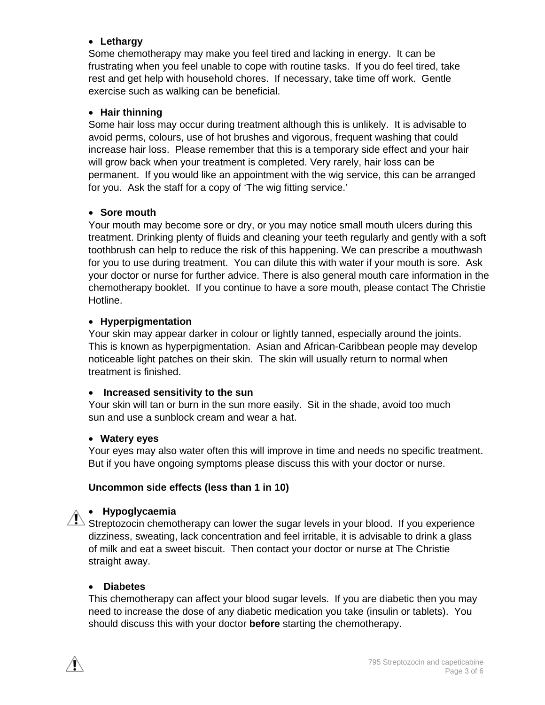#### **Lethargy**

Some chemotherapy may make you feel tired and lacking in energy. It can be frustrating when you feel unable to cope with routine tasks. If you do feel tired, take rest and get help with household chores. If necessary, take time off work. Gentle exercise such as walking can be beneficial.

#### **Hair thinning**

Some hair loss may occur during treatment although this is unlikely. It is advisable to avoid perms, colours, use of hot brushes and vigorous, frequent washing that could increase hair loss. Please remember that this is a temporary side effect and your hair will grow back when your treatment is completed. Very rarely, hair loss can be permanent. If you would like an appointment with the wig service, this can be arranged for you. Ask the staff for a copy of 'The wig fitting service.'

#### **Sore mouth**

Your mouth may become sore or dry, or you may notice small mouth ulcers during this treatment. Drinking plenty of fluids and cleaning your teeth regularly and gently with a soft toothbrush can help to reduce the risk of this happening. We can prescribe a mouthwash for you to use during treatment. You can dilute this with water if your mouth is sore. Ask your doctor or nurse for further advice. There is also general mouth care information in the chemotherapy booklet. If you continue to have a sore mouth, please contact The Christie Hotline.

#### **Hyperpigmentation**

Your skin may appear darker in colour or lightly tanned, especially around the joints. This is known as hyperpigmentation. Asian and African-Caribbean people may develop noticeable light patches on their skin. The skin will usually return to normal when treatment is finished.

#### **Increased sensitivity to the sun**

Your skin will tan or burn in the sun more easily. Sit in the shade, avoid too much sun and use a sunblock cream and wear a hat.

#### **Watery eyes**

Your eyes may also water often this will improve in time and needs no specific treatment. But if you have ongoing symptoms please discuss this with your doctor or nurse.

#### **Uncommon side effects (less than 1 in 10)**

#### **Hypoglycaemia**

Streptozocin chemotherapy can lower the sugar levels in your blood. If you experience dizziness, sweating, lack concentration and feel irritable, it is advisable to drink a glass of milk and eat a sweet biscuit. Then contact your doctor or nurse at The Christie straight away.

#### **Diabetes**

Æ

This chemotherapy can affect your blood sugar levels. If you are diabetic then you may need to increase the dose of any diabetic medication you take (insulin or tablets). You should discuss this with your doctor **before** starting the chemotherapy.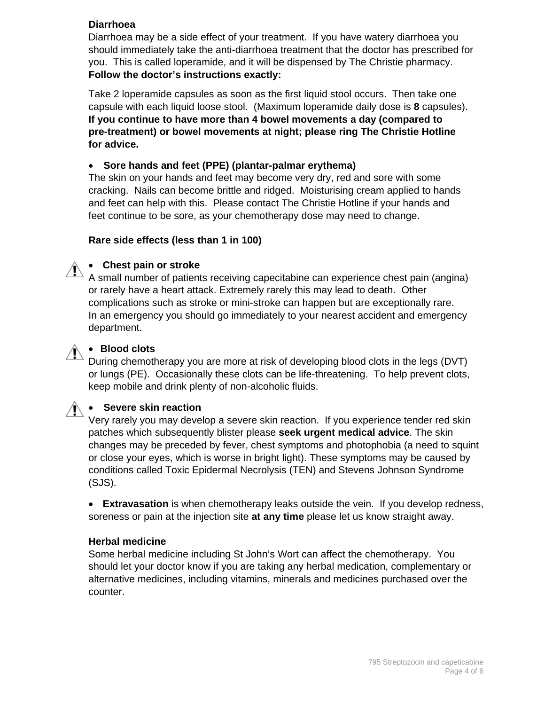#### **Diarrhoea**

Diarrhoea may be a side effect of your treatment. If you have watery diarrhoea you should immediately take the anti-diarrhoea treatment that the doctor has prescribed for you. This is called loperamide, and it will be dispensed by The Christie pharmacy. **Follow the doctor's instructions exactly:** 

Take 2 loperamide capsules as soon as the first liquid stool occurs. Then take one capsule with each liquid loose stool. (Maximum loperamide daily dose is **8** capsules). **If you continue to have more than 4 bowel movements a day (compared to pre-treatment) or bowel movements at night; please ring The Christie Hotline for advice.** 

#### **Sore hands and feet (PPE) (plantar-palmar erythema)**

The skin on your hands and feet may become very dry, red and sore with some cracking. Nails can become brittle and ridged. Moisturising cream applied to hands and feet can help with this. Please contact The Christie Hotline if your hands and feet continue to be sore, as your chemotherapy dose may need to change.

#### **Rare side effects (less than 1 in 100)**

#### **Chest pain or stroke**

A small number of patients receiving capecitabine can experience chest pain (angina) or rarely have a heart attack. Extremely rarely this may lead to death. Other complications such as stroke or mini-stroke can happen but are exceptionally rare. In an emergency you should go immediately to your nearest accident and emergency department.

### **Blood clots**

During chemotherapy you are more at risk of developing blood clots in the legs (DVT) or lungs (PE). Occasionally these clots can be life-threatening. To help prevent clots, keep mobile and drink plenty of non-alcoholic fluids.

#### **Severe skin reaction**

Very rarely you may develop a severe skin reaction. If you experience tender red skin patches which subsequently blister please **seek urgent medical advice**. The skin changes may be preceded by fever, chest symptoms and photophobia (a need to squint or close your eyes, which is worse in bright light). These symptoms may be caused by conditions called Toxic Epidermal Necrolysis (TEN) and Stevens Johnson Syndrome (SJS).

 **Extravasation** is when chemotherapy leaks outside the vein. If you develop redness, soreness or pain at the injection site **at any time** please let us know straight away.

#### **Herbal medicine**

Some herbal medicine including St John's Wort can affect the chemotherapy. You should let your doctor know if you are taking any herbal medication, complementary or alternative medicines, including vitamins, minerals and medicines purchased over the counter.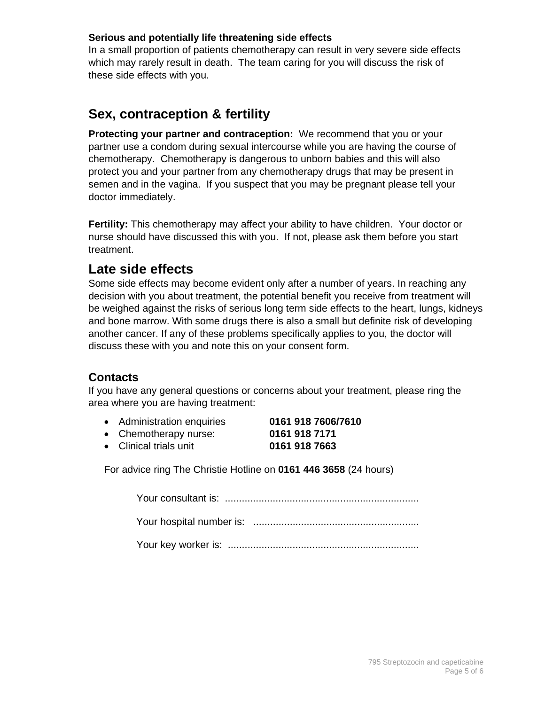#### **Serious and potentially life threatening side effects**

In a small proportion of patients chemotherapy can result in very severe side effects which may rarely result in death. The team caring for you will discuss the risk of these side effects with you.

# **Sex, contraception & fertility**

**Protecting your partner and contraception:** We recommend that you or your partner use a condom during sexual intercourse while you are having the course of chemotherapy. Chemotherapy is dangerous to unborn babies and this will also protect you and your partner from any chemotherapy drugs that may be present in semen and in the vagina. If you suspect that you may be pregnant please tell your doctor immediately.

**Fertility:** This chemotherapy may affect your ability to have children. Your doctor or nurse should have discussed this with you. If not, please ask them before you start treatment.

# **Late side effects**

Some side effects may become evident only after a number of years. In reaching any decision with you about treatment, the potential benefit you receive from treatment will be weighed against the risks of serious long term side effects to the heart, lungs, kidneys and bone marrow. With some drugs there is also a small but definite risk of developing another cancer. If any of these problems specifically applies to you, the doctor will discuss these with you and note this on your consent form.

### **Contacts**

If you have any general questions or concerns about your treatment, please ring the area where you are having treatment:

- Administration enquiries **0161 918 7606/7610**
- Chemotherapy nurse: **0161 918 7171**
- Clinical trials unit **0161 918 7663**

For advice ring The Christie Hotline on **0161 446 3658** (24 hours)